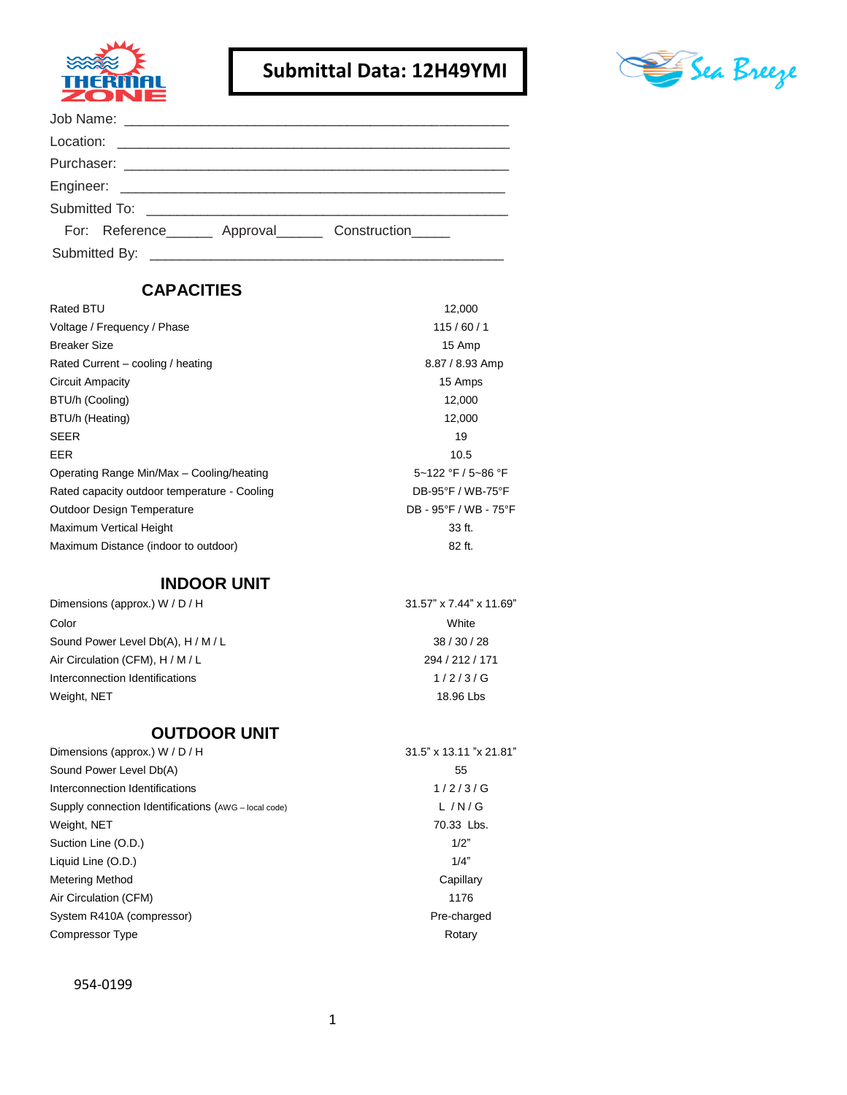

## **Submittal Data: 12H49YMI**



| For: Reference _______ Approval _______ Construction ______ |
|-------------------------------------------------------------|
|                                                             |

## **CAPACITIES**

| <b>Rated BTU</b>                             | 12,000                |
|----------------------------------------------|-----------------------|
| Voltage / Frequency / Phase                  | 115/60/1              |
| <b>Breaker Size</b>                          | 15 Amp                |
| Rated Current – cooling / heating            | 8.87 / 8.93 Amp       |
| <b>Circuit Ampacity</b>                      | 15 Amps               |
| BTU/h (Cooling)                              | 12,000                |
| BTU/h (Heating)                              | 12,000                |
| <b>SEER</b>                                  | 19                    |
| <b>EER</b>                                   | 10.5                  |
| Operating Range Min/Max - Cooling/heating    | 5~122 °F / 5~86 °F    |
| Rated capacity outdoor temperature - Cooling | DB-95°F / WB-75°F     |
| <b>Outdoor Design Temperature</b>            | DB - 95°F / WB - 75°F |
| <b>Maximum Vertical Height</b>               | 33 ft.                |
| Maximum Distance (indoor to outdoor)         | 82 ft.                |
|                                              |                       |

## **INDOOR UNIT**

| Dimensions (approx.) W / D / H     | $31.57$ " x 7.44" x 11.69" |
|------------------------------------|----------------------------|
| Color                              | White                      |
| Sound Power Level Db(A), H / M / L | 38/30/28                   |
| Air Circulation (CFM), H / M / L   | 294 / 212 / 171            |
| Interconnection Identifications    | 1/2/3/G                    |
| Weight, NET                        | 18.96 Lbs                  |

## **OUTDOOR UNIT**

| Dimensions (approx.) W / D / H                       | 31.5" x 13.11 "x 21.81" |
|------------------------------------------------------|-------------------------|
| Sound Power Level Db(A)                              | 55                      |
| Interconnection Identifications                      | 1/2/3/G                 |
| Supply connection Identifications (AWG - local code) | L/N/G                   |
| Weight, NET                                          | 70.33 Lbs.              |
| Suction Line (O.D.)                                  | 1/2"                    |
| Liquid Line (O.D.)                                   | 1/4"                    |
| <b>Metering Method</b>                               | Capillary               |
| Air Circulation (CFM)                                | 1176                    |
| System R410A (compressor)                            | Pre-charged             |
| Compressor Type                                      | Rotary                  |
|                                                      |                         |

#### 954-0199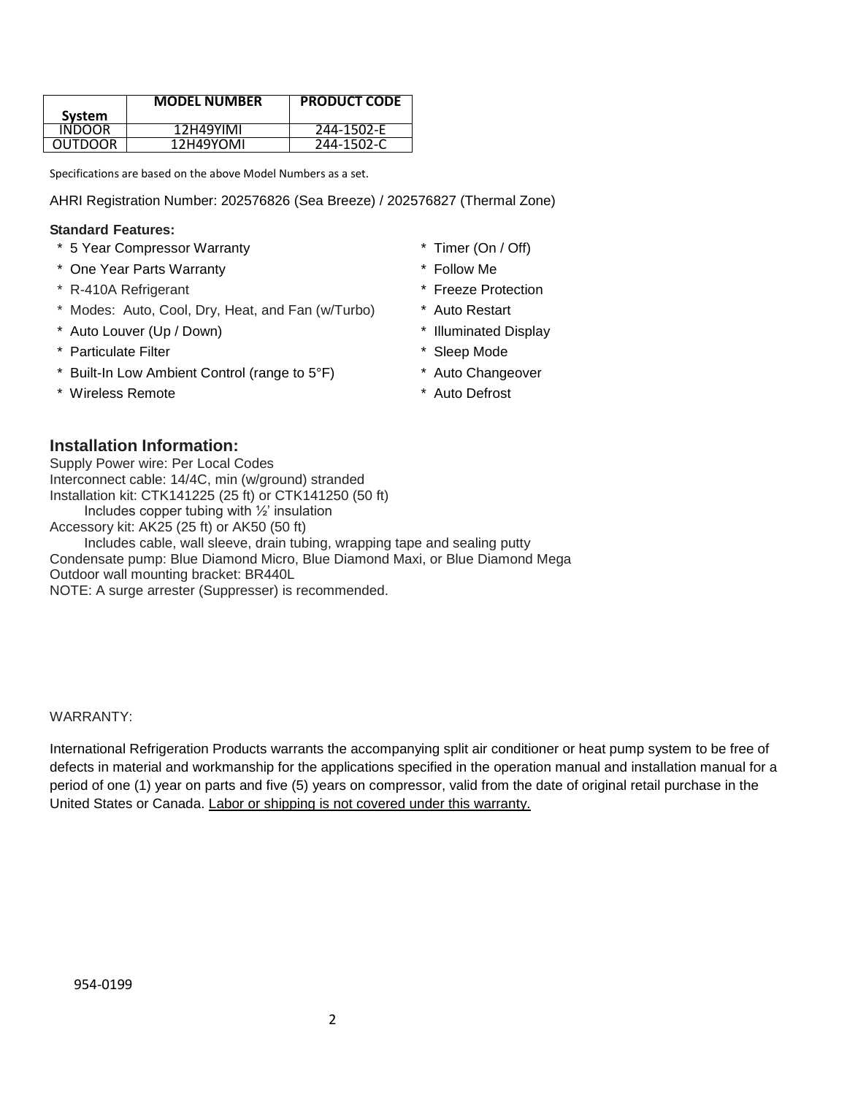|         | <b>MODEL NUMBER</b> | <b>PRODUCT CODE</b> |
|---------|---------------------|---------------------|
| System  |                     |                     |
| INDOOR  | 12H49YIMI           | 244-1502-E          |
| OUTDOOR | 12H49YOMI           | 244-1502-C          |

Specifications are based on the above Model Numbers as a set.

AHRI Registration Number: 202576826 (Sea Breeze) / 202576827 (Thermal Zone)

#### **Standard Features:**

- \* 5 Year Compressor Warranty \* Timer (On / Off)
- \* One Year Parts Warranty \* Follow Me
- \* R-410A Refrigerant \* Freeze Protection
- \* Modes: Auto, Cool, Dry, Heat, and Fan (w/Turbo) \* Auto Restart
- \* Auto Louver (Up / Down) \* Illuminated Display
- \* Particulate Filter \* Sleep Mode
- \* Built-In Low Ambient Control (range to 5°F) \* Auto Changeover
- \* Wireless Remote **\*** Auto Defrost
- 
- 
- 
- 
- 
- 
- 
- 

#### **Installation Information:**

Supply Power wire: Per Local Codes Interconnect cable: 14/4C, min (w/ground) stranded Installation kit: CTK141225 (25 ft) or CTK141250 (50 ft) Includes copper tubing with ½' insulation Accessory kit: AK25 (25 ft) or AK50 (50 ft) Includes cable, wall sleeve, drain tubing, wrapping tape and sealing putty Condensate pump: Blue Diamond Micro, Blue Diamond Maxi, or Blue Diamond Mega Outdoor wall mounting bracket: BR440L

NOTE: A surge arrester (Suppresser) is recommended.

#### WARRANTY:

International Refrigeration Products warrants the accompanying split air conditioner or heat pump system to be free of defects in material and workmanship for the applications specified in the operation manual and installation manual for a period of one (1) year on parts and five (5) years on compressor, valid from the date of original retail purchase in the United States or Canada. Labor or shipping is not covered under this warranty.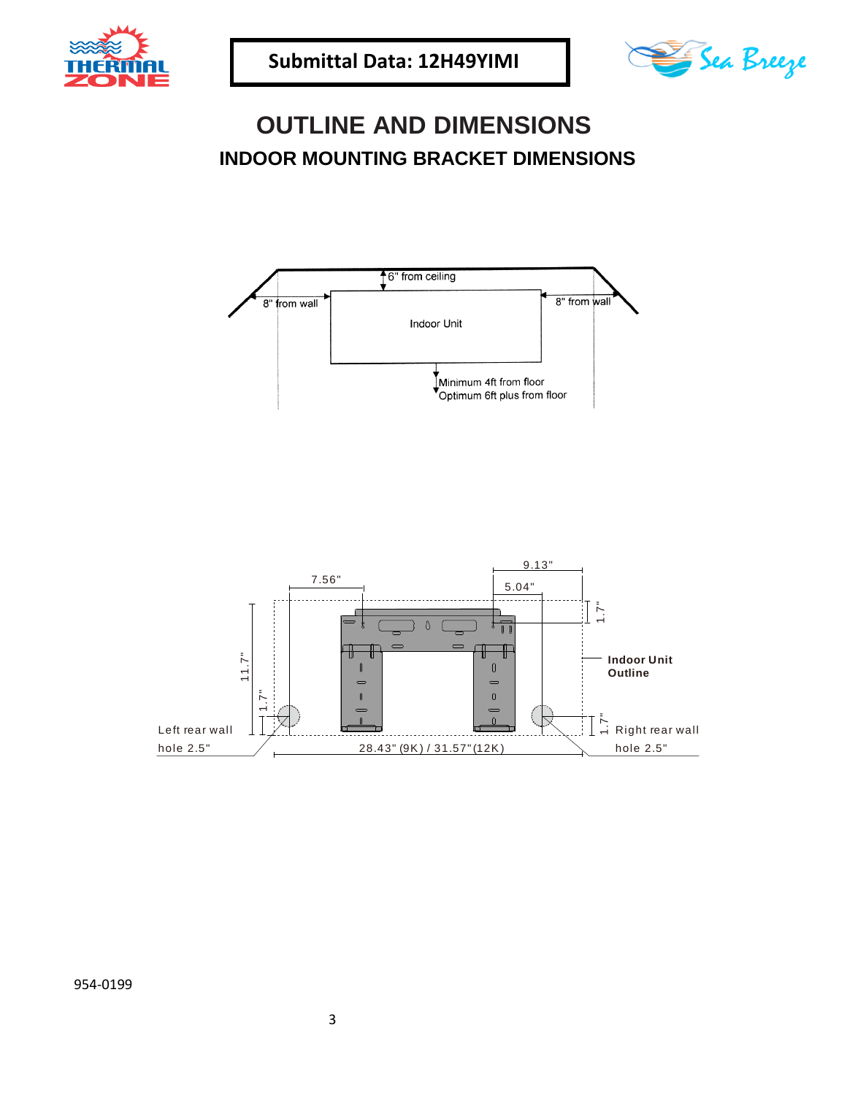



# **OUTLINE AND DIMENSIONS INDOOR MOUNTING BRACKET DIMENSIONS**





954-0199